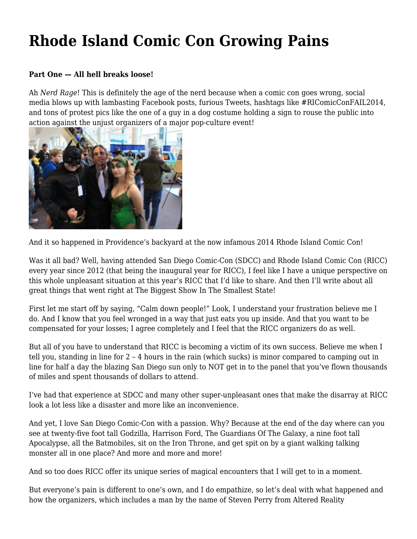## **[Rhode Island Comic Con Growing Pains](https://motifri.com/growingpains/)**

## **Part One — All hell breaks loose!**

Ah *Nerd Rage*! This is definitely the age of the nerd because when a comic con goes wrong, social media blows up with lambasting Facebook posts, furious Tweets, hashtags like #RIComicConFAIL2014, and tons of protest pics like the one of a guy in a dog costume holding a sign to rouse the public into action against the unjust organizers of a major pop-culture event!



And it so happened in Providence's backyard at the now infamous 2014 Rhode Island Comic Con!

Was it all bad? Well, having attended San Diego Comic-Con (SDCC) and Rhode Island Comic Con (RICC) every year since 2012 (that being the inaugural year for RICC), I feel like I have a unique perspective on this whole unpleasant situation at this year's RICC that I'd like to share. And then I'll write about all great things that went right at The Biggest Show In The Smallest State!

First let me start off by saying, "Calm down people!" Look, I understand your frustration believe me I do. And I know that you feel wronged in a way that just eats you up inside. And that you want to be compensated for your losses; I agree completely and I feel that the RICC organizers do as well.

But all of you have to understand that RICC is becoming a victim of its own success. Believe me when I tell you, standing in line for 2 – 4 hours in the rain (which sucks) is minor compared to camping out in line for half a day the blazing San Diego sun only to NOT get in to the panel that you've flown thousands of miles and spent thousands of dollars to attend.

I've had that experience at SDCC and many other super-unpleasant ones that make the disarray at RICC look a lot less like a disaster and more like an inconvenience.

And yet, I love San Diego Comic-Con with a passion. Why? Because at the end of the day where can you see at twenty-five foot tall Godzilla, Harrison Ford, The Guardians Of The Galaxy, a nine foot tall Apocalypse, all the Batmobiles, sit on the Iron Throne, and get spit on by a giant walking talking monster all in one place? And more and more and more!

And so too does RICC offer its unique series of magical encounters that I will get to in a moment.

But everyone's pain is different to one's own, and I do empathize, so let's deal with what happened and how the organizers, which includes a man by the name of Steven Perry from Altered Reality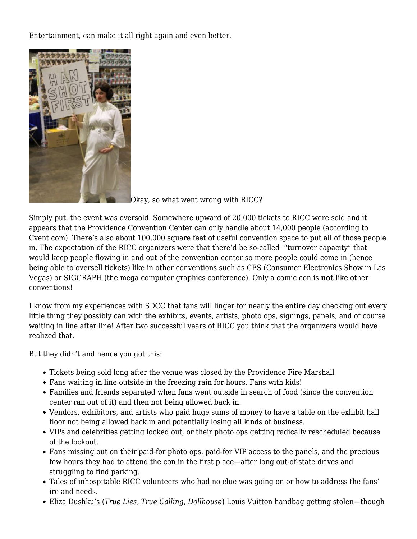Entertainment, can make it all right again and even better.



[O](http://www.motifri.com/wp-content/uploads/2014/11/10403991_750087771737281_6205468088561506079_o.jpg)kay, so what went wrong with RICC?

Simply put, the event was oversold. Somewhere upward of 20,000 tickets to RICC were sold and it appears that the Providence Convention Center can only handle about 14,000 people (according to Cvent.com). There's also about 100,000 square feet of useful convention space to put all of those people in. The expectation of the RICC organizers were that there'd be so-called "turnover capacity" that would keep people flowing in and out of the convention center so more people could come in (hence being able to oversell tickets) like in other conventions such as CES (Consumer Electronics Show in Las Vegas) or SIGGRAPH (the mega computer graphics conference). Only a comic con is **not** like other conventions!

I know from my experiences with SDCC that fans will linger for nearly the entire day checking out every little thing they possibly can with the exhibits, events, artists, photo ops, signings, panels, and of course waiting in line after line! After two successful years of RICC you think that the organizers would have realized that.

But they didn't and hence you got this:

- Tickets being sold long after the venue was closed by the Providence Fire Marshall
- Fans waiting in line outside in the freezing rain for hours. Fans with kids!
- Families and friends separated when fans went outside in search of food (since the convention center ran out of it) and then not being allowed back in.
- Vendors, exhibitors, and artists who paid huge sums of money to have a table on the exhibit hall floor not being allowed back in and potentially losing all kinds of business.
- VIPs and celebrities getting locked out, or their photo ops getting radically rescheduled because of the lockout.
- Fans missing out on their paid-for photo ops, paid-for VIP access to the panels, and the precious few hours they had to attend the con in the first place—after long out-of-state drives and struggling to find parking.
- Tales of inhospitable RICC volunteers who had no clue was going on or how to address the fans' ire and needs.
- Eliza Dushku's (*True Lies, True Calling, Dollhouse*) Louis Vuitton handbag getting stolen—though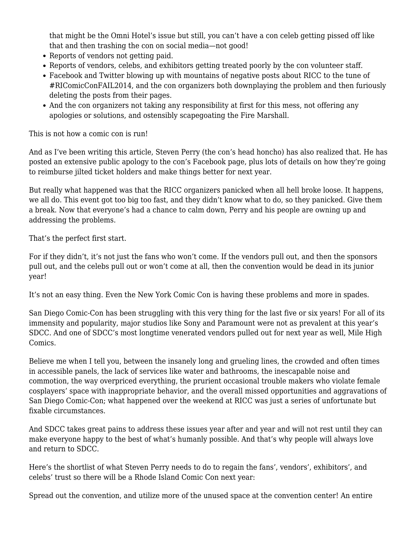that might be the Omni Hotel's issue but still, you can't have a con celeb getting pissed off like that and then trashing the con on social media—not good!

- Reports of vendors not getting paid.
- Reports of vendors, celebs, and exhibitors getting treated poorly by the con volunteer staff.
- Facebook and Twitter blowing up with mountains of negative posts about RICC to the tune of #RIComicConFAIL2014, and the con organizers both downplaying the problem and then furiously deleting the posts from their pages.
- And the con organizers not taking any responsibility at first for this mess, not offering any apologies or solutions, and ostensibly scapegoating the Fire Marshall.

This is not how a comic con is run!

And as I've been writing this article, Steven Perry (the con's head honcho) has also realized that. He has posted an extensive public apology to the con's Facebook page, plus lots of details on how they're going to reimburse jilted ticket holders and make things better for next year.

But really what happened was that the RICC organizers panicked when all hell broke loose. It happens, we all do. This event got too big too fast, and they didn't know what to do, so they panicked. Give them a break. Now that everyone's had a chance to calm down, Perry and his people are owning up and addressing the problems.

That's the perfect first start.

For if they didn't, it's not just the fans who won't come. If the vendors pull out, and then the sponsors pull out, and the celebs pull out or won't come at all, then the convention would be dead in its junior year!

It's not an easy thing. Even the New York Comic Con is having these problems and more in spades.

San Diego Comic-Con has been struggling with this very thing for the last five or six years! For all of its immensity and popularity, major studios like Sony and Paramount were not as prevalent at this year's SDCC. And one of SDCC's most longtime venerated vendors pulled out for next year as well, Mile High Comics.

Believe me when I tell you, between the insanely long and grueling lines, the crowded and often times in accessible panels, the lack of services like water and bathrooms, the inescapable noise and commotion, the way overpriced everything, the prurient occasional trouble makers who violate female cosplayers' space with inappropriate behavior, and the overall missed opportunities and aggravations of San Diego Comic-Con; what happened over the weekend at RICC was just a series of unfortunate but fixable circumstances.

And SDCC takes great pains to address these issues year after and year and will not rest until they can make everyone happy to the best of what's humanly possible. And that's why people will always love and return to SDCC.

Here's the shortlist of what Steven Perry needs to do to regain the fans', vendors', exhibitors', and celebs' trust so there will be a Rhode Island Comic Con next year:

Spread out the convention, and utilize more of the unused space at the convention center! An entire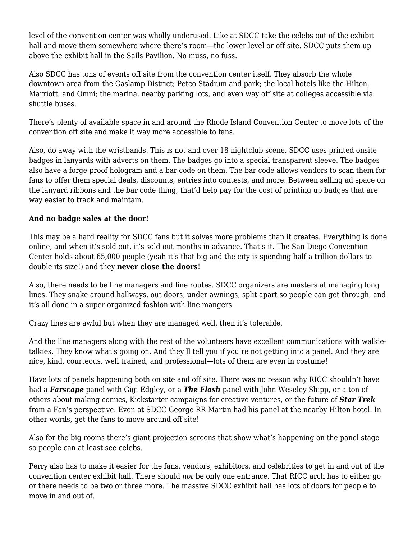level of the convention center was wholly underused. Like at SDCC take the celebs out of the exhibit hall and move them somewhere where there's room—the lower level or off site. SDCC puts them up above the exhibit hall in the Sails Pavilion. No muss, no fuss.

Also SDCC has tons of events off site from the convention center itself. They absorb the whole downtown area from the Gaslamp District; Petco Stadium and park; the local hotels like the Hilton, Marriott, and Omni; the marina, nearby parking lots, and even way off site at colleges accessible via shuttle buses.

There's plenty of available space in and around the Rhode Island Convention Center to move lots of the convention off site and make it way more accessible to fans.

Also, do away with the wristbands. This is not and over 18 nightclub scene. SDCC uses printed onsite badges in lanyards with adverts on them. The badges go into a special transparent sleeve. The badges also have a forge proof hologram and a bar code on them. The bar code allows vendors to scan them for fans to offer them special deals, discounts, entries into contests, and more. Between selling ad space on the lanyard ribbons and the bar code thing, that'd help pay for the cost of printing up badges that are way easier to track and maintain.

## **And no badge sales at the door!**

This may be a hard reality for SDCC fans but it solves more problems than it creates. Everything is done online, and when it's sold out, it's sold out months in advance. That's it. The San Diego Convention Center holds about 65,000 people (yeah it's that big and the city is spending half a trillion dollars to double its size!) and they **never close the doors**!

Also, there needs to be line managers and line routes. SDCC organizers are masters at managing long lines. They snake around hallways, out doors, under awnings, split apart so people can get through, and it's all done in a super organized fashion with line mangers.

Crazy lines are awful but when they are managed well, then it's tolerable.

And the line managers along with the rest of the volunteers have excellent communications with walkietalkies. They know what's going on. And they'll tell you if you're not getting into a panel. And they are nice, kind, courteous, well trained, and professional—lots of them are even in costume!

Have lots of panels happening both on site and off site. There was no reason why RICC shouldn't have had a *Farscape* panel with Gigi Edgley, or a *The Flash* panel with John Weseley Shipp, or a ton of others about making comics, Kickstarter campaigns for creative ventures, or the future of *Star Trek* from a Fan's perspective. Even at SDCC George RR Martin had his panel at the nearby Hilton hotel. In other words, get the fans to move around off site!

Also for the big rooms there's giant projection screens that show what's happening on the panel stage so people can at least see celebs.

Perry also has to make it easier for the fans, vendors, exhibitors, and celebrities to get in and out of the convention center exhibit hall. There should *not* be only one entrance. That RICC arch has to either go or there needs to be two or three more. The massive SDCC exhibit hall has lots of doors for people to move in and out of.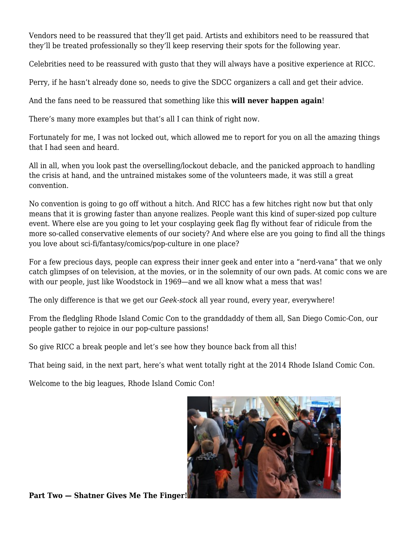Vendors need to be reassured that they'll get paid. Artists and exhibitors need to be reassured that they'll be treated professionally so they'll keep reserving their spots for the following year.

Celebrities need to be reassured with gusto that they will always have a positive experience at RICC.

Perry, if he hasn't already done so, needs to give the SDCC organizers a call and get their advice.

And the fans need to be reassured that something like this **will never happen again**!

There's many more examples but that's all I can think of right now.

Fortunately for me, I was not locked out, which allowed me to report for you on all the amazing things that I had seen and heard.

All in all, when you look past the overselling/lockout debacle, and the panicked approach to handling the crisis at hand, and the untrained mistakes some of the volunteers made, it was still a great convention.

No convention is going to go off without a hitch. And RICC has a few hitches right now but that only means that it is growing faster than anyone realizes. People want this kind of super-sized pop culture event. Where else are you going to let your cosplaying geek flag fly without fear of ridicule from the more so-called conservative elements of our society? And where else are you going to find all the things you love about sci-fi/fantasy/comics/pop-culture in one place?

For a few precious days, people can express their inner geek and enter into a "nerd-vana" that we only catch glimpses of on television, at the movies, or in the solemnity of our own pads. At comic cons we are with our people, just like Woodstock in 1969—and we all know what a mess that was!

The only difference is that we get our *Geek-stock* all year round, every year, everywhere!

From the fledgling Rhode Island Comic Con to the granddaddy of them all, San Diego Comic-Con, our people gather to rejoice in our pop-culture passions!

So give RICC a break people and let's see how they bounce back from all this!

That being said, in the next part, here's what went totally right at the 2014 Rhode Island Comic Con.

Welcome to the big leagues, Rhode Island Comic Con!

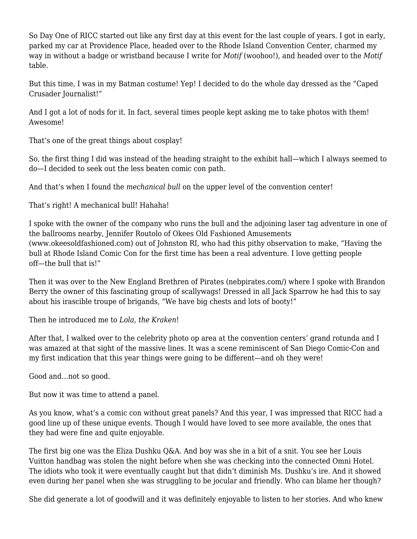So Day One of RICC started out like any first day at this event for the last couple of years. I got in early, parked my car at Providence Place, headed over to the Rhode Island Convention Center, charmed my way in without a badge or wristband because I write for *Motif* (woohoo!), and headed over to the *Motif* table.

But this time, I was in my Batman costume! Yep! I decided to do the whole day dressed as the "Caped Crusader Journalist!"

And I got a lot of nods for it. In fact, several times people kept asking me to take photos with them! Awesome!

That's one of the great things about cosplay!

So, the first thing I did was instead of the heading straight to the exhibit hall—which I always seemed to do—I decided to seek out the less beaten comic con path.

And that's when I found the *mechanical bull* on the upper level of the convention center!

That's right! A mechanical bull! Hahaha!

I spoke with the owner of the company who runs the bull and the adjoining laser tag adventure in one of the ballrooms nearby, Jennifer Routolo of Okees Old Fashioned Amusements (www.okeesoldfashioned.com) out of Johnston RI, who had this pithy observation to make, "Having the bull at Rhode Island Comic Con for the first time has been a real adventure. I love getting people off—the bull that is!"

Then it was over to the New England Brethren of Pirates (nebpirates.com/) where I spoke with Brandon Berry the owner of this fascinating group of scallywags! Dressed in all Jack Sparrow he had this to say about his irascible troupe of brigands, "We have big chests and lots of booty!"

Then he introduced me to *Lola, the Kraken*!

After that, I walked over to the celebrity photo op area at the convention centers' grand rotunda and I was amazed at that sight of the massive lines. It was a scene reminiscent of San Diego Comic-Con and my first indication that this year things were going to be different—and oh they were!

Good and…not so good.

But now it was time to attend a panel.

As you know, what's a comic con without great panels? And this year, I was impressed that RICC had a good line up of these unique events. Though I would have loved to see more available, the ones that they had were fine and quite enjoyable.

The first big one was the Eliza Dushku Q&A. And boy was she in a bit of a snit. You see her Louis Vuitton handbag was stolen the night before when she was checking into the connected Omni Hotel. The idiots who took it were eventually caught but that didn't diminish Ms. Dushku's ire. And it showed even during her panel when she was struggling to be jocular and friendly. Who can blame her though?

She did generate a lot of goodwill and it was definitely enjoyable to listen to her stories. And who knew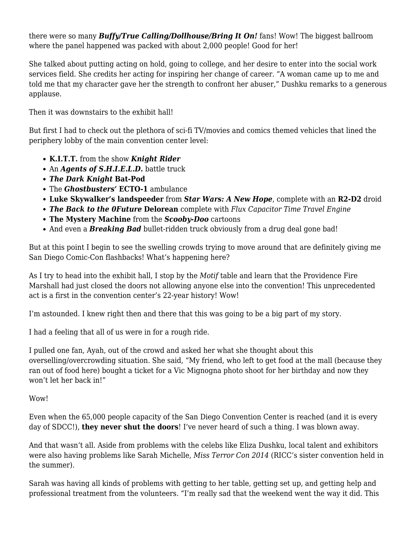there were so many *Buffy/True Calling/Dollhouse/Bring It On!* fans! Wow! The biggest ballroom where the panel happened was packed with about 2,000 people! Good for her!

She talked about putting acting on hold, going to college, and her desire to enter into the social work services field. She credits her acting for inspiring her change of career. "A woman came up to me and told me that my character gave her the strength to confront her abuser," Dushku remarks to a generous applause.

Then it was downstairs to the exhibit hall!

But first I had to check out the plethora of sci-fi TV/movies and comics themed vehicles that lined the periphery lobby of the main convention center level:

- **K.I.T.T.** from the show *Knight Rider*
- An *Agents of S.H.I.E.L.D.* battle truck
- *The Dark Knight* **Bat-Pod**
- The *Ghostbusters'* **ECTO-1** ambulance
- **Luke Skywalker's landspeeder** from *Star Wars: A New Hope*, complete with an **R2-D2** droid
- *The Back to the 0Future* **Delorean** complete with *Flux Capacitor Time Travel Engine*
- **The Mystery Machine** from the *Scooby-Doo* cartoons
- And even a **Breaking Bad** bullet-ridden truck obviously from a drug deal gone bad!

But at this point I begin to see the swelling crowds trying to move around that are definitely giving me San Diego Comic-Con flashbacks! What's happening here?

As I try to head into the exhibit hall, I stop by the *Motif* table and learn that the Providence Fire Marshall had just closed the doors not allowing anyone else into the convention! This unprecedented act is a first in the convention center's 22-year history! Wow!

I'm astounded. I knew right then and there that this was going to be a big part of my story.

I had a feeling that all of us were in for a rough ride.

I pulled one fan, Ayah, out of the crowd and asked her what she thought about this overselling/overcrowding situation. She said, "My friend, who left to get food at the mall (because they ran out of food here) bought a ticket for a Vic Mignogna photo shoot for her birthday and now they won't let her back in!"

Wow!

Even when the 65,000 people capacity of the San Diego Convention Center is reached (and it is every day of SDCC!), **they never shut the doors**! I've never heard of such a thing. I was blown away.

And that wasn't all. Aside from problems with the celebs like Eliza Dushku, local talent and exhibitors were also having problems like Sarah Michelle, *Miss Terror Con 2014* (RICC's sister convention held in the summer).

Sarah was having all kinds of problems with getting to her table, getting set up, and getting help and professional treatment from the volunteers. "I'm really sad that the weekend went the way it did. This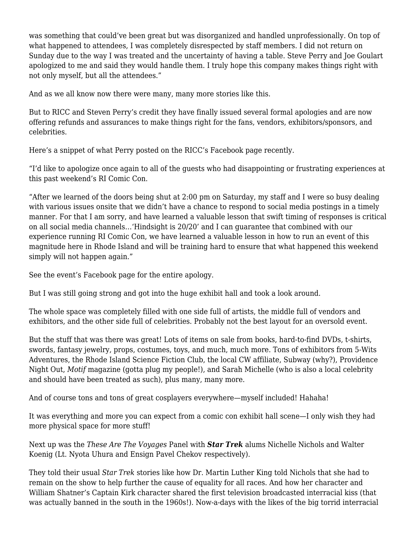was something that could've been great but was disorganized and handled unprofessionally. On top of what happened to attendees, I was completely disrespected by staff members. I did not return on Sunday due to the way I was treated and the uncertainty of having a table. Steve Perry and Joe Goulart apologized to me and said they would handle them. I truly hope this company makes things right with not only myself, but all the attendees."

And as we all know now there were many, many more stories like this.

But to RICC and Steven Perry's credit they have finally issued several formal apologies and are now offering refunds and assurances to make things right for the fans, vendors, exhibitors/sponsors, and celebrities.

Here's a snippet of what Perry posted on the RICC's Facebook page recently.

"I'd like to apologize once again to all of the guests who had disappointing or frustrating experiences at this past weekend's RI Comic Con.

"After we learned of the doors being shut at 2:00 pm on Saturday, my staff and I were so busy dealing with various issues onsite that we didn't have a chance to respond to social media postings in a timely manner. For that I am sorry, and have learned a valuable lesson that swift timing of responses is critical on all social media channels…'Hindsight is 20/20' and I can guarantee that combined with our experience running RI Comic Con, we have learned a valuable lesson in how to run an event of this magnitude here in Rhode Island and will be training hard to ensure that what happened this weekend simply will not happen again."

See the event's Facebook page for the entire apology.

But I was still going strong and got into the huge exhibit hall and took a look around.

The whole space was completely filled with one side full of artists, the middle full of vendors and exhibitors, and the other side full of celebrities. Probably not the best layout for an oversold event.

But the stuff that was there was great! Lots of items on sale from books, hard-to-find DVDs, t-shirts, swords, fantasy jewelry, props, costumes, toys, and much, much more. Tons of exhibitors from 5-Wits Adventures, the Rhode Island Science Fiction Club, the local CW affiliate, Subway (why?), Providence Night Out, *Motif* magazine (gotta plug my people!), and Sarah Michelle (who is also a local celebrity and should have been treated as such), plus many, many more.

And of course tons and tons of great cosplayers everywhere—myself included! Hahaha!

It was everything and more you can expect from a comic con exhibit hall scene—I only wish they had more physical space for more stuff!

Next up was the *These Are The Voyages* Panel with *Star Trek* alums Nichelle Nichols and Walter Koenig (Lt. Nyota Uhura and Ensign Pavel Chekov respectively).

They told their usual *Star Trek* stories like how Dr. Martin Luther King told Nichols that she had to remain on the show to help further the cause of equality for all races. And how her character and William Shatner's Captain Kirk character shared the first television broadcasted interracial kiss (that was actually banned in the south in the 1960s!). Now-a-days with the likes of the big torrid interracial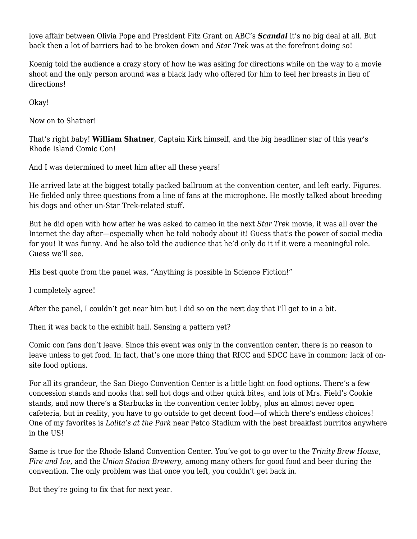love affair between Olivia Pope and President Fitz Grant on ABC's *Scandal* it's no big deal at all. But back then a lot of barriers had to be broken down and *Star Trek* was at the forefront doing so!

Koenig told the audience a crazy story of how he was asking for directions while on the way to a movie shoot and the only person around was a black lady who offered for him to feel her breasts in lieu of directions!

Okay!

Now on to Shatner!

That's right baby! **William Shatner**, Captain Kirk himself, and the big headliner star of this year's Rhode Island Comic Con!

And I was determined to meet him after all these years!

He arrived late at the biggest totally packed ballroom at the convention center, and left early. Figures. He fielded only three questions from a line of fans at the microphone. He mostly talked about breeding his dogs and other un-Star Trek-related stuff.

But he did open with how after he was asked to cameo in the next *Star Trek* movie, it was all over the Internet the day after—especially when he told nobody about it! Guess that's the power of social media for you! It was funny. And he also told the audience that he'd only do it if it were a meaningful role. Guess we'll see.

His best quote from the panel was, "Anything is possible in Science Fiction!"

I completely agree!

After the panel, I couldn't get near him but I did so on the next day that I'll get to in a bit.

Then it was back to the exhibit hall. Sensing a pattern yet?

Comic con fans don't leave. Since this event was only in the convention center, there is no reason to leave unless to get food. In fact, that's one more thing that RICC and SDCC have in common: lack of onsite food options.

For all its grandeur, the San Diego Convention Center is a little light on food options. There's a few concession stands and nooks that sell hot dogs and other quick bites, and lots of Mrs. Field's Cookie stands, and now there's a Starbucks in the convention center lobby, plus an almost never open cafeteria, but in reality, you have to go outside to get decent food—of which there's endless choices! One of my favorites is *Lolita's at the Park* near Petco Stadium with the best breakfast burritos anywhere in the US!

Same is true for the Rhode Island Convention Center. You've got to go over to the *Trinity Brew House*, *Fire and Ice*, and the *Union Station Brewery*, among many others for good food and beer during the convention. The only problem was that once you left, you couldn't get back in.

But they're going to fix that for next year.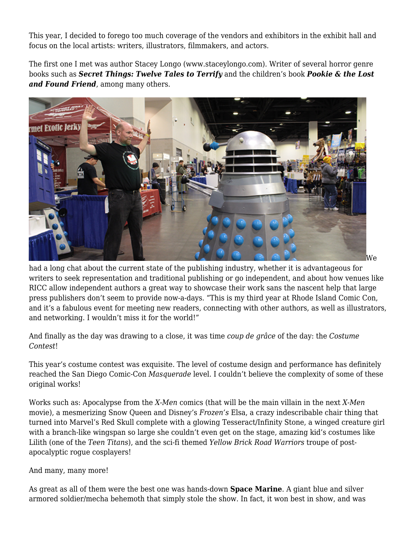This year, I decided to forego too much coverage of the vendors and exhibitors in the exhibit hall and focus on the local artists: writers, illustrators, filmmakers, and actors.

The first one I met was author Stacey Longo (www.staceylongo.com). Writer of several horror genre books such as *Secret Things: Twelve Tales to Terrify* and the children's book *Pookie & the Lost and Found Friend*, among many others.



had a long chat about the current state of the publishing industry, whether it is advantageous for writers to seek representation and traditional publishing or go independent, and about how venues like RICC allow independent authors a great way to showcase their work sans the nascent help that large press publishers don't seem to provide now-a-days. "This is my third year at Rhode Island Comic Con, and it's a fabulous event for meeting new readers, connecting with other authors, as well as illustrators, and networking. I wouldn't miss it for the world!"

And finally as the day was drawing to a close, it was time *coup de grâce* of the day: the *Costume Contest*!

This year's costume contest was exquisite. The level of costume design and performance has definitely reached the San Diego Comic-Con *Masquerade* level. I couldn't believe the complexity of some of these original works!

Works such as: Apocalypse from the *X-Men* comics (that will be the main villain in the next *X-Men* movie), a mesmerizing Snow Queen and Disney's *Frozen's* Elsa, a crazy indescribable chair thing that turned into Marvel's Red Skull complete with a glowing Tesseract/Infinity Stone, a winged creature girl with a branch-like wingspan so large she couldn't even get on the stage, amazing kid's costumes like Lilith (one of the *Teen Titans*), and the sci-fi themed *Yellow Brick Road Warriors* troupe of postapocalyptic rogue cosplayers!

And many, many more!

As great as all of them were the best one was hands-down **Space Marine**. A giant blue and silver armored soldier/mecha behemoth that simply stole the show. In fact, it won best in show, and was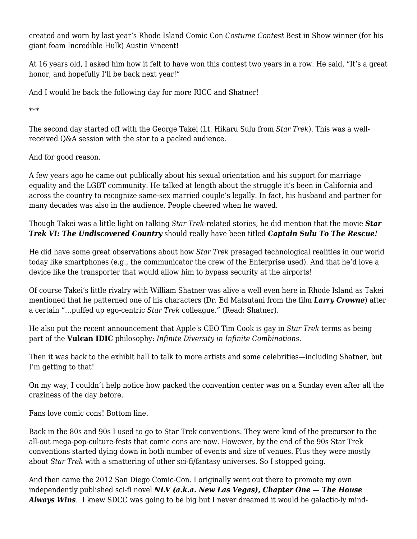created and worn by last year's Rhode Island Comic Con *Costume Contest* Best in Show winner (for his giant foam Incredible Hulk) Austin Vincent!

At 16 years old, I asked him how it felt to have won this contest two years in a row. He said, "It's a great honor, and hopefully I'll be back next year!"

And I would be back the following day for more RICC and Shatner!

\*\*\*

The second day started off with the George Takei (Lt. Hikaru Sulu from *Star Trek*). This was a wellreceived Q&A session with the star to a packed audience.

And for good reason.

A few years ago he came out publically about his sexual orientation and his support for marriage equality and the LGBT community. He talked at length about the struggle it's been in California and across the country to recognize same-sex married couple's legally. In fact, his husband and partner for many decades was also in the audience. People cheered when he waved.

Though Takei was a little light on talking *Star Trek*-related stories, he did mention that the movie *Star Trek VI: The Undiscovered Country* should really have been titled *Captain Sulu To The Rescue!*

He did have some great observations about how *Star Trek* presaged technological realities in our world today like smartphones (e.g., the communicator the crew of the Enterprise used). And that he'd love a device like the transporter that would allow him to bypass security at the airports!

Of course Takei's little rivalry with William Shatner was alive a well even here in Rhode Island as Takei mentioned that he patterned one of his characters (Dr. Ed Matsutani from the film *Larry Crowne*) after a certain "…puffed up ego-centric *Star Trek* colleague." (Read: Shatner).

He also put the recent announcement that Apple's CEO Tim Cook is gay in *Star Trek* terms as being part of the **Vulcan IDIC** philosophy: *Infinite Diversity in Infinite Combinations*.

Then it was back to the exhibit hall to talk to more artists and some celebrities—including Shatner, but I'm getting to that!

On my way, I couldn't help notice how packed the convention center was on a Sunday even after all the craziness of the day before.

Fans love comic cons! Bottom line.

Back in the 80s and 90s I used to go to Star Trek conventions. They were kind of the precursor to the all-out mega-pop-culture-fests that comic cons are now. However, by the end of the 90s Star Trek conventions started dying down in both number of events and size of venues. Plus they were mostly about *Star Trek* with a smattering of other sci-fi/fantasy universes. So I stopped going.

And then came the 2012 San Diego Comic-Con. I originally went out there to promote my own independently published sci-fi novel *NLV (a.k.a. New Las Vegas), Chapter One — The House Always Wins*. I knew SDCC was going to be big but I never dreamed it would be galactic-ly mind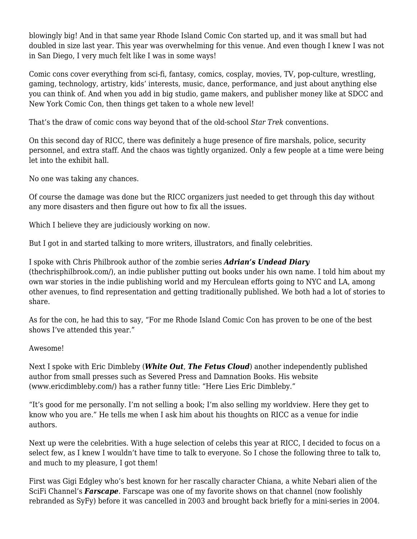blowingly big! And in that same year Rhode Island Comic Con started up, and it was small but had doubled in size last year. This year was overwhelming for this venue. And even though I knew I was not in San Diego, I very much felt like I was in some ways!

Comic cons cover everything from sci-fi, fantasy, comics, cosplay, movies, TV, pop-culture, wrestling, gaming, technology, artistry, kids' interests, music, dance, performance, and just about anything else you can think of. And when you add in big studio, game makers, and publisher money like at SDCC and New York Comic Con, then things get taken to a whole new level!

That's the draw of comic cons way beyond that of the old-school *Star Trek* conventions.

On this second day of RICC, there was definitely a huge presence of fire marshals, police, security personnel, and extra staff. And the chaos was tightly organized. Only a few people at a time were being let into the exhibit hall.

No one was taking any chances.

Of course the damage was done but the RICC organizers just needed to get through this day without any more disasters and then figure out how to fix all the issues.

Which I believe they are judiciously working on now.

But I got in and started talking to more writers, illustrators, and finally celebrities.

I spoke with Chris Philbrook author of the zombie series *Adrian's Undead Diary* [\(thechrisphilbrook.com/\)](http://thechrisphilbrook.com/), an indie publisher putting out books under his own name. I told him about my own war stories in the indie publishing world and my Herculean efforts going to NYC and LA, among other avenues, to find representation and getting traditionally published. We both had a lot of stories to share.

As for the con, he had this to say, "For me Rhode Island Comic Con has proven to be one of the best shows I've attended this year."

## Awesome!

Next I spoke with Eric Dimbleby (*White Out*, *The Fetus Cloud*) another independently published author from small presses such as Severed Press and Damnation Books. His website [\(www.ericdimbleby.com/\)](http://www.ericdimbleby.com/) has a rather funny title: "Here Lies Eric Dimbleby."

"It's good for me personally. I'm not selling a book; I'm also selling my worldview. Here they get to know who you are." He tells me when I ask him about his thoughts on RICC as a venue for indie authors.

Next up were the celebrities. With a huge selection of celebs this year at RICC, I decided to focus on a select few, as I knew I wouldn't have time to talk to everyone. So I chose the following three to talk to, and much to my pleasure, I got them!

First was Gigi Edgley who's best known for her rascally character Chiana, a white Nebari alien of the SciFi Channel's *Farscape*. Farscape was one of my favorite shows on that channel (now foolishly rebranded as SyFy) before it was cancelled in 2003 and brought back briefly for a mini-series in 2004.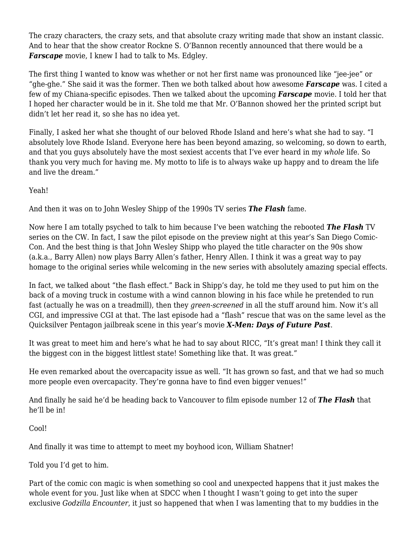The crazy characters, the crazy sets, and that absolute crazy writing made that show an instant classic. And to hear that the show creator Rockne S. O'Bannon recently announced that there would be a *Farscape* movie, I knew I had to talk to Ms. Edgley.

The first thing I wanted to know was whether or not her first name was pronounced like "jee-jee" or "ghe-ghe." She said it was the former. Then we both talked about how awesome *Farscape* was. I cited a few of my Chiana-specific episodes. Then we talked about the upcoming *Farscape* movie. I told her that I hoped her character would be in it. She told me that Mr. O'Bannon showed her the printed script but didn't let her read it, so she has no idea yet.

Finally, I asked her what she thought of our beloved Rhode Island and here's what she had to say. "I absolutely love Rhode Island. Everyone here has been beyond amazing, so welcoming, so down to earth, and that you guys absolutely have the most sexiest accents that I've ever heard in my *whole* life. So thank you very much for having me. My motto to life is to always wake up happy and to dream the life and live the dream."

Yeah!

And then it was on to John Wesley Shipp of the 1990s TV series *The Flash* fame.

Now here I am totally psyched to talk to him because I've been watching the rebooted *The Flash* TV series on the CW. In fact, I saw the pilot episode on the preview night at this year's San Diego Comic-Con. And the best thing is that John Wesley Shipp who played the title character on the 90s show (a.k.a., Barry Allen) now plays Barry Allen's father, Henry Allen. I think it was a great way to pay homage to the original series while welcoming in the new series with absolutely amazing special effects.

In fact, we talked about "the flash effect." Back in Shipp's day, he told me they used to put him on the back of a moving truck in costume with a wind cannon blowing in his face while he pretended to run fast (actually he was on a treadmill), then they *green-screened* in all the stuff around him. Now it's all CGI, and impressive CGI at that. The last episode had a "flash" rescue that was on the same level as the Quicksilver Pentagon jailbreak scene in this year's movie *X-Men: Days of Future Past*.

It was great to meet him and here's what he had to say about RICC, "It's great man! I think they call it the biggest con in the biggest littlest state! Something like that. It was great."

He even remarked about the overcapacity issue as well. "It has grown so fast, and that we had so much more people even overcapacity. They're gonna have to find even bigger venues!"

And finally he said he'd be heading back to Vancouver to film episode number 12 of *The Flash* that he'll be in!

Cool!

And finally it was time to attempt to meet my boyhood icon, William Shatner!

Told you I'd get to him.

Part of the comic con magic is when something so cool and unexpected happens that it just makes the whole event for you. Just like when at SDCC when I thought I wasn't going to get into the super exclusive *Godzilla Encounter*, it just so happened that when I was lamenting that to my buddies in the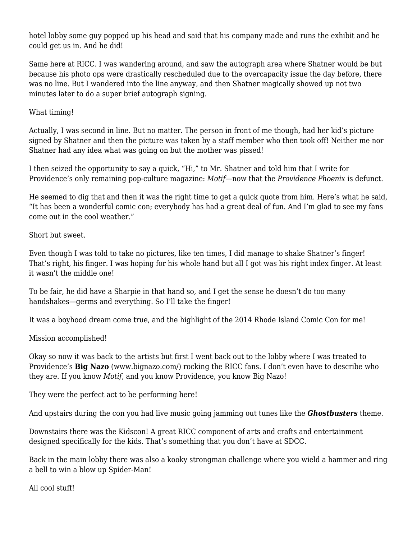hotel lobby some guy popped up his head and said that his company made and runs the exhibit and he could get us in. And he did!

Same here at RICC. I was wandering around, and saw the autograph area where Shatner would be but because his photo ops were drastically rescheduled due to the overcapacity issue the day before, there was no line. But I wandered into the line anyway, and then Shatner magically showed up not two minutes later to do a super brief autograph signing.

What timing!

Actually, I was second in line. But no matter. The person in front of me though, had her kid's picture signed by Shatner and then the picture was taken by a staff member who then took off! Neither me nor Shatner had any idea what was going on but the mother was pissed!

I then seized the opportunity to say a quick, "Hi," to Mr. Shatner and told him that I write for Providence's only remaining pop-culture magazine: *Motif*—now that the *Providence Phoenix* is defunct.

He seemed to dig that and then it was the right time to get a quick quote from him. Here's what he said, "It has been a wonderful comic con; everybody has had a great deal of fun. And I'm glad to see my fans come out in the cool weather."

Short but sweet.

Even though I was told to take no pictures, like ten times, I did manage to shake Shatner's finger! That's right, his finger. I was hoping for his whole hand but all I got was his right index finger. At least it wasn't the middle one!

To be fair, he did have a Sharpie in that hand so, and I get the sense he doesn't do too many handshakes—germs and everything. So I'll take the finger!

It was a boyhood dream come true, and the highlight of the 2014 Rhode Island Comic Con for me!

Mission accomplished!

Okay so now it was back to the artists but first I went back out to the lobby where I was treated to Providence's **Big Nazo** [\(www.bignazo.com](http://www.bignazo.com)/) rocking the RICC fans. I don't even have to describe who they are. If you know *Motif*, and you know Providence, you know Big Nazo!

They were the perfect act to be performing here!

And upstairs during the con you had live music going jamming out tunes like the *Ghostbusters* theme.

Downstairs there was the Kidscon! A great RICC component of arts and crafts and entertainment designed specifically for the kids. That's something that you don't have at SDCC.

Back in the main lobby there was also a kooky strongman challenge where you wield a hammer and ring a bell to win a blow up Spider-Man!

All cool stuff!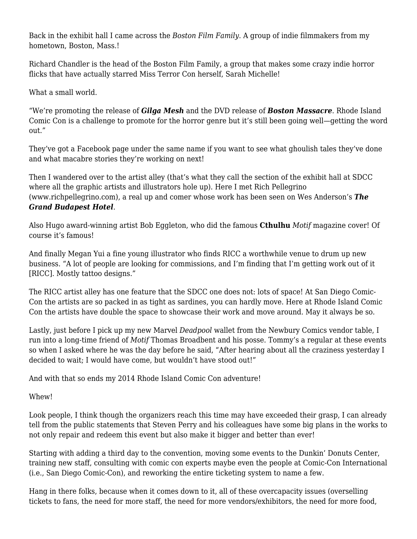Back in the exhibit hall I came across the *Boston Film Family*. A group of indie filmmakers from my hometown, Boston, Mass.!

Richard Chandler is the head of the Boston Film Family, a group that makes some crazy indie horror flicks that have actually starred Miss Terror Con herself, Sarah Michelle!

What a small world.

"We're promoting the release of *Gilga Mesh* and the DVD release of *Boston Massacre*. Rhode Island Comic Con is a challenge to promote for the horror genre but it's still been going well—getting the word out."

They've got a Facebook page under the same name if you want to see what ghoulish tales they've done and what macabre stories they're working on next!

Then I wandered over to the artist alley (that's what they call the section of the exhibit hall at SDCC where all the graphic artists and illustrators hole up). Here I met Rich Pellegrino [\(www.richpellegrino.com\)](http://www.richpellegrino.com), a real up and comer whose work has been seen on Wes Anderson's *The Grand Budapest Hotel*.

Also Hugo award-winning artist Bob Eggleton, who did the famous **Cthulhu** *Motif* magazine cover! Of course it's famous!

And finally Megan Yui a fine young illustrator who finds RICC a worthwhile venue to drum up new business. "A lot of people are looking for commissions, and I'm finding that I'm getting work out of it [RICC]. Mostly tattoo designs."

The RICC artist alley has one feature that the SDCC one does not: lots of space! At San Diego Comic-Con the artists are so packed in as tight as sardines, you can hardly move. Here at Rhode Island Comic Con the artists have double the space to showcase their work and move around. May it always be so.

Lastly, just before I pick up my new Marvel *Deadpool* wallet from the Newbury Comics vendor table, I run into a long-time friend of *Motif* Thomas Broadbent and his posse. Tommy's a regular at these events so when I asked where he was the day before he said, "After hearing about all the craziness yesterday I decided to wait; I would have come, but wouldn't have stood out!"

And with that so ends my 2014 Rhode Island Comic Con adventure!

Whew!

Look people, I think though the organizers reach this time may have exceeded their grasp, I can already tell from the public statements that Steven Perry and his colleagues have some big plans in the works to not only repair and redeem this event but also make it bigger and better than ever!

Starting with adding a third day to the convention, moving some events to the Dunkin' Donuts Center, training new staff, consulting with comic con experts maybe even the people at Comic-Con International (i.e., San Diego Comic-Con), and reworking the entire ticketing system to name a few.

Hang in there folks, because when it comes down to it, all of these overcapacity issues (overselling tickets to fans, the need for more staff, the need for more vendors/exhibitors, the need for more food,